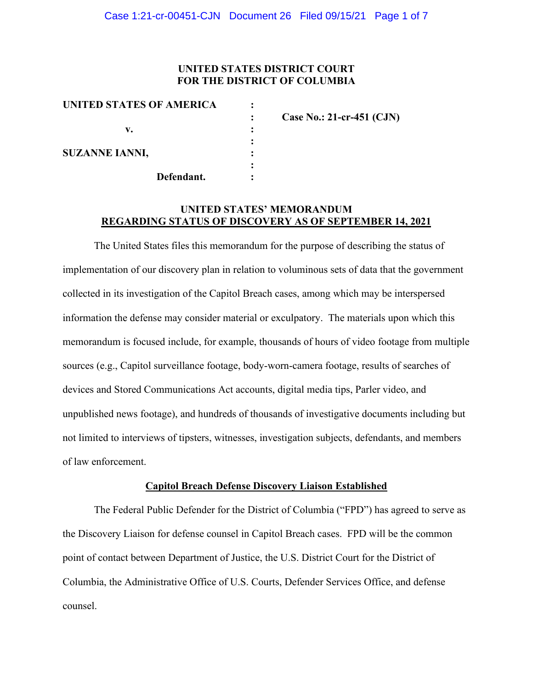## **UNITED STATES DISTRICT COURT FOR THE DISTRICT OF COLUMBIA**

| UNITED STATES OF AMERICA |                             |
|--------------------------|-----------------------------|
|                          | Case No.: 21-cr-451 $(CJN)$ |
| v.                       |                             |
|                          |                             |
| <b>SUZANNE IANNI,</b>    |                             |
|                          |                             |
| Defendant.               |                             |

### **UNITED STATES' MEMORANDUM REGARDING STATUS OF DISCOVERY AS OF SEPTEMBER 14, 2021**

The United States files this memorandum for the purpose of describing the status of implementation of our discovery plan in relation to voluminous sets of data that the government collected in its investigation of the Capitol Breach cases, among which may be interspersed information the defense may consider material or exculpatory. The materials upon which this memorandum is focused include, for example, thousands of hours of video footage from multiple sources (e.g., Capitol surveillance footage, body-worn-camera footage, results of searches of devices and Stored Communications Act accounts, digital media tips, Parler video, and unpublished news footage), and hundreds of thousands of investigative documents including but not limited to interviews of tipsters, witnesses, investigation subjects, defendants, and members of law enforcement.

### **Capitol Breach Defense Discovery Liaison Established**

The Federal Public Defender for the District of Columbia ("FPD") has agreed to serve as the Discovery Liaison for defense counsel in Capitol Breach cases. FPD will be the common point of contact between Department of Justice, the U.S. District Court for the District of Columbia, the Administrative Office of U.S. Courts, Defender Services Office, and defense counsel.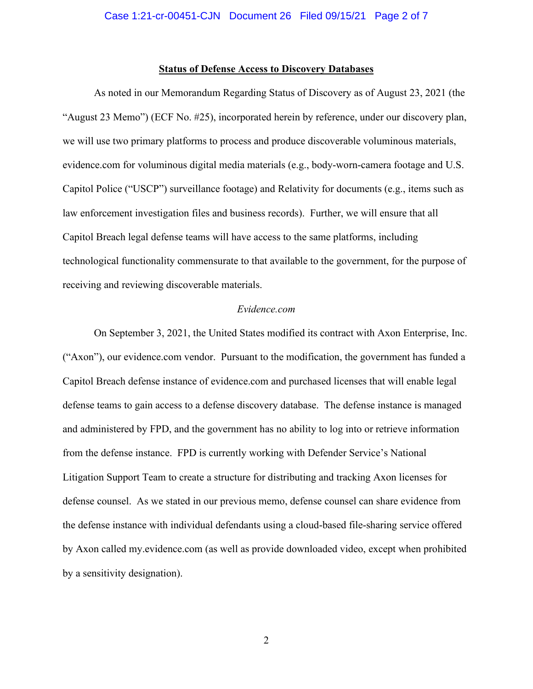#### **Status of Defense Access to Discovery Databases**

As noted in our Memorandum Regarding Status of Discovery as of August 23, 2021 (the "August 23 Memo") (ECF No. #25), incorporated herein by reference, under our discovery plan, we will use two primary platforms to process and produce discoverable voluminous materials, evidence.com for voluminous digital media materials (e.g., body-worn-camera footage and U.S. Capitol Police ("USCP") surveillance footage) and Relativity for documents (e.g., items such as law enforcement investigation files and business records). Further, we will ensure that all Capitol Breach legal defense teams will have access to the same platforms, including technological functionality commensurate to that available to the government, for the purpose of receiving and reviewing discoverable materials.

#### *Evidence.com*

On September 3, 2021, the United States modified its contract with Axon Enterprise, Inc. ("Axon"), our evidence.com vendor. Pursuant to the modification, the government has funded a Capitol Breach defense instance of evidence.com and purchased licenses that will enable legal defense teams to gain access to a defense discovery database. The defense instance is managed and administered by FPD, and the government has no ability to log into or retrieve information from the defense instance. FPD is currently working with Defender Service's National Litigation Support Team to create a structure for distributing and tracking Axon licenses for defense counsel. As we stated in our previous memo, defense counsel can share evidence from the defense instance with individual defendants using a cloud-based file-sharing service offered by Axon called my.evidence.com (as well as provide downloaded video, except when prohibited by a sensitivity designation).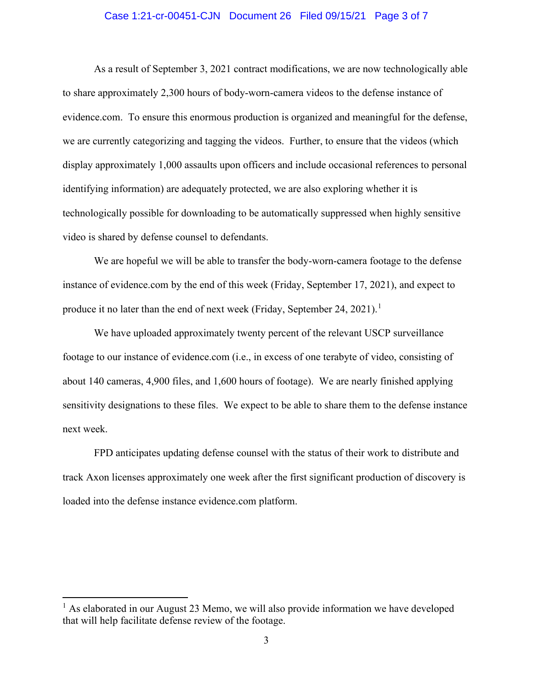#### Case 1:21-cr-00451-CJN Document 26 Filed 09/15/21 Page 3 of 7

As a result of September 3, 2021 contract modifications, we are now technologically able to share approximately 2,300 hours of body-worn-camera videos to the defense instance of evidence.com. To ensure this enormous production is organized and meaningful for the defense, we are currently categorizing and tagging the videos. Further, to ensure that the videos (which display approximately 1,000 assaults upon officers and include occasional references to personal identifying information) are adequately protected, we are also exploring whether it is technologically possible for downloading to be automatically suppressed when highly sensitive video is shared by defense counsel to defendants.

We are hopeful we will be able to transfer the body-worn-camera footage to the defense instance of evidence.com by the end of this week (Friday, September 17, 2021), and expect to produce it no later than the end of next week (Friday, September 24, 2021).<sup>1</sup>

We have uploaded approximately twenty percent of the relevant USCP surveillance footage to our instance of evidence.com (i.e., in excess of one terabyte of video, consisting of about 140 cameras, 4,900 files, and 1,600 hours of footage). We are nearly finished applying sensitivity designations to these files. We expect to be able to share them to the defense instance next week.

FPD anticipates updating defense counsel with the status of their work to distribute and track Axon licenses approximately one week after the first significant production of discovery is loaded into the defense instance evidence.com platform.

 $<sup>1</sup>$  As elaborated in our August 23 Memo, we will also provide information we have developed</sup> that will help facilitate defense review of the footage.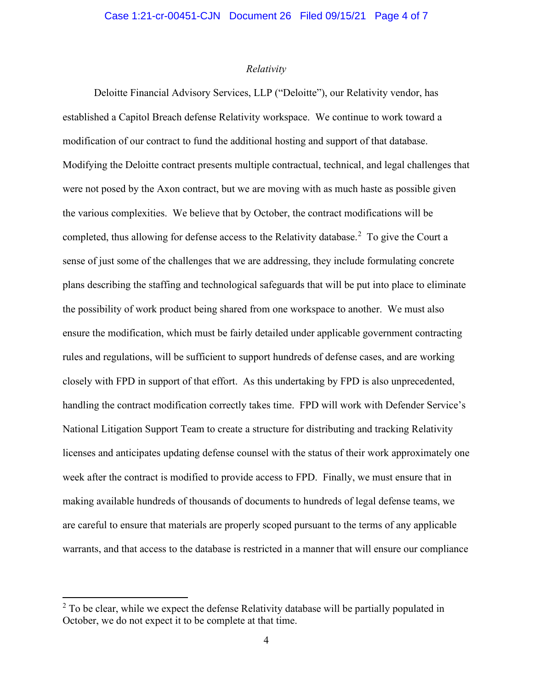#### *Relativity*

Deloitte Financial Advisory Services, LLP ("Deloitte"), our Relativity vendor, has established a Capitol Breach defense Relativity workspace. We continue to work toward a modification of our contract to fund the additional hosting and support of that database. Modifying the Deloitte contract presents multiple contractual, technical, and legal challenges that were not posed by the Axon contract, but we are moving with as much haste as possible given the various complexities. We believe that by October, the contract modifications will be completed, thus allowing for defense access to the Relativity database.<sup>2</sup> To give the Court a sense of just some of the challenges that we are addressing, they include formulating concrete plans describing the staffing and technological safeguards that will be put into place to eliminate the possibility of work product being shared from one workspace to another. We must also ensure the modification, which must be fairly detailed under applicable government contracting rules and regulations, will be sufficient to support hundreds of defense cases, and are working closely with FPD in support of that effort. As this undertaking by FPD is also unprecedented, handling the contract modification correctly takes time. FPD will work with Defender Service's National Litigation Support Team to create a structure for distributing and tracking Relativity licenses and anticipates updating defense counsel with the status of their work approximately one week after the contract is modified to provide access to FPD. Finally, we must ensure that in making available hundreds of thousands of documents to hundreds of legal defense teams, we are careful to ensure that materials are properly scoped pursuant to the terms of any applicable warrants, and that access to the database is restricted in a manner that will ensure our compliance

 $2$  To be clear, while we expect the defense Relativity database will be partially populated in October, we do not expect it to be complete at that time.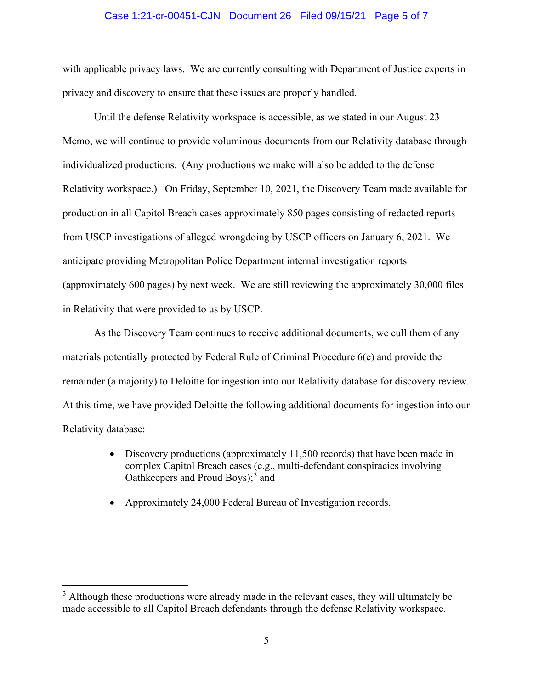#### Case 1:21-cr-00451-CJN Document 26 Filed 09/15/21 Page 5 of 7

with applicable privacy laws. We are currently consulting with Department of Justice experts in privacy and discovery to ensure that these issues are properly handled.

Until the defense Relativity workspace is accessible, as we stated in our August 23 Memo, we will continue to provide voluminous documents from our Relativity database through individualized productions. (Any productions we make will also be added to the defense Relativity workspace.) On Friday, September 10, 2021, the Discovery Team made available for production in all Capitol Breach cases approximately 850 pages consisting of redacted reports from USCP investigations of alleged wrongdoing by USCP officers on January 6, 2021. We anticipate providing Metropolitan Police Department internal investigation reports (approximately 600 pages) by next week. We are still reviewing the approximately 30,000 files in Relativity that were provided to us by USCP.

As the Discovery Team continues to receive additional documents, we cull them of any materials potentially protected by Federal Rule of Criminal Procedure 6(e) and provide the remainder (a majority) to Deloitte for ingestion into our Relativity database for discovery review. At this time, we have provided Deloitte the following additional documents for ingestion into our Relativity database:

- Discovery productions (approximately 11,500 records) that have been made in complex Capitol Breach cases (e.g., multi-defendant conspiracies involving Oathkeepers and Proud Boys); <sup>3</sup> and
- Approximately 24,000 Federal Bureau of Investigation records.

 $3$  Although these productions were already made in the relevant cases, they will ultimately be made accessible to all Capitol Breach defendants through the defense Relativity workspace.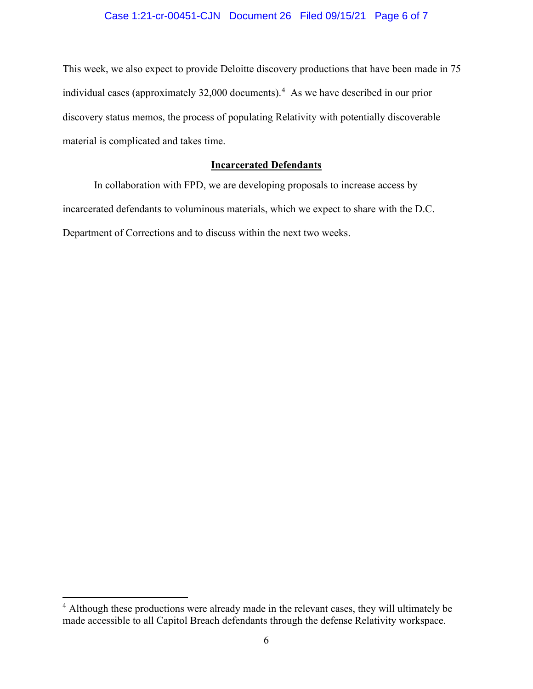# Case 1:21-cr-00451-CJN Document 26 Filed 09/15/21 Page 6 of 7

This week, we also expect to provide Deloitte discovery productions that have been made in 75 individual cases (approximately 32,000 documents). 4 As we have described in our prior discovery status memos, the process of populating Relativity with potentially discoverable material is complicated and takes time.

## **Incarcerated Defendants**

In collaboration with FPD, we are developing proposals to increase access by incarcerated defendants to voluminous materials, which we expect to share with the D.C. Department of Corrections and to discuss within the next two weeks.

<sup>&</sup>lt;sup>4</sup> Although these productions were already made in the relevant cases, they will ultimately be made accessible to all Capitol Breach defendants through the defense Relativity workspace.